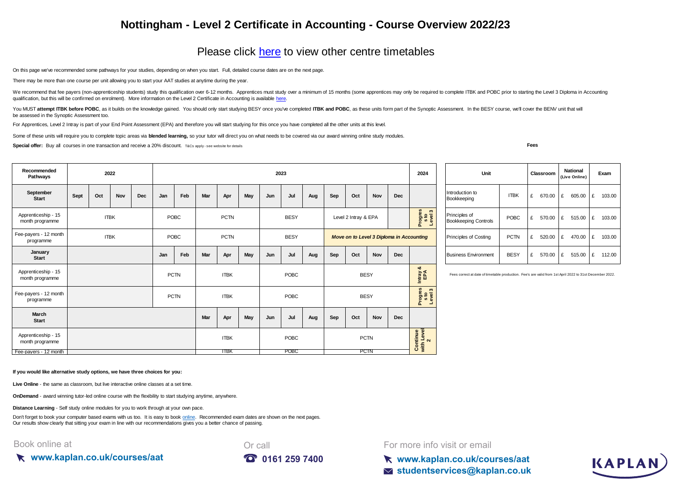## **Nottingham - Level 2 Certificate in Accounting - Course Overview 2022/23**

## [Please click here](https://kaplan.co.uk/courses/timetables/aat) to view other centre timetables

On this page we've recommended some pathways for your studies, depending on when you start. Full, detailed course dates are on the next page.

There may be more than one course per unit allowing you to start your AAT studies at anytime during the year.

[We recommend that fee p](https://kaplan.co.uk/courses/aat)ayers (non-apprenticeship students) study this qualification over 6-12 months. Apprentices must study over a minimum of 15 months (some apprentices may only be required to complete ITBK and POBC prio [qualification, but this will be confirmed on enrolment\). More information on the Level 2 Certificate in Accounting is available here.](https://kaplan.co.uk/courses/aat)

You MUST attempt ITBK before POBC, as it builds on the knowledge gained. You should only start studying BESY once you've completed ITBK and POBC, as these units form part of the Synoptic Assessment. In the BESY course, we' be assessed in the Synoptic Assessment too.

For Apprentices, Level 2 Intray is part of your End Point Assessment (EPA) and therefore you will start studying for this once you have completed all the other units at this level.

Some of these units will require you to complete topic areas via **blended learning**, so your tutor will direct you on what needs to be covered via our award winning online study modules.

**Special offer:** Buy all courses in one transaction and receive a 20% discount. T&Cs apply-see website for details

**Fees**

| Recommended<br>Pathways                | 2022        |     |     |             |                            | 2023 |             |             |     |                      |             |                    |                                                                                                          |                           | 2024                                         | Unit       |                              |                                | Classroom   |        | <b>National</b><br>Exam<br>(Live Online) |        |             |             |
|----------------------------------------|-------------|-----|-----|-------------|----------------------------|------|-------------|-------------|-----|----------------------|-------------|--------------------|----------------------------------------------------------------------------------------------------------|---------------------------|----------------------------------------------|------------|------------------------------|--------------------------------|-------------|--------|------------------------------------------|--------|-------------|-------------|
| September<br><b>Start</b>              | Sept        | Oct | Nov | Dec         | Jan                        | Feb  | Mar         | Apr         | May | Jun                  | Jul         | Aug                | Sep                                                                                                      | Oct                       | Nov                                          | <b>Dec</b> |                              | Introduction to<br>Bookkeeping | <b>ITBK</b> | £      | 670.00                                   | £      | 605.00      | E<br>103.00 |
| Apprenticeship - 15<br>month programme | <b>ITBK</b> |     |     |             | POBC<br><b>PCTN</b>        |      |             | <b>BESY</b> |     | Level 2 Intray & EPA |             |                    |                                                                                                          | Progres<br>sto<br>Level3  | Principles of<br><b>Bookkeeping Controls</b> | POBC       | £                            | 570.00                         | E           | 515.00 | E<br>103.00                              |        |             |             |
| Fee-payers - 12 month<br>programme     | <b>ITBK</b> |     |     |             | POBC                       |      | <b>PCTN</b> |             |     | <b>BESY</b>          |             |                    | Move on to Level 3 Diploma in Accounting                                                                 |                           |                                              |            | <b>Principles of Costing</b> | <b>PCTN</b>                    | £           | 520.00 | £                                        | 470.00 | £<br>103.00 |             |
| January<br><b>Start</b>                |             |     |     |             | Jan                        | Feb  | Mar         | Apr         | May | Jun                  | Jul         | Aug                | Sep                                                                                                      | Oct                       | Nov                                          | <b>Dec</b> |                              | <b>Business Environment</b>    | <b>BESY</b> | £      | 570.00                                   | £      | 515.00      | £ 112.00    |
| Apprenticeship - 15<br>month programme |             |     |     |             | <b>PCTN</b><br><b>ITBK</b> |      |             | POBC        |     | <b>BESY</b>          |             | ಯ<br>Intray<br>EPA | Fees correct at date of timetable production. Fee's are valid from 1st April 2022 to 31st December 2022. |                           |                                              |            |                              |                                |             |        |                                          |        |             |             |
| Fee-payers - 12 month<br>programme     |             |     |     |             | <b>PCTN</b><br><b>ITBK</b> |      |             | POBC        |     |                      | <b>BESY</b> |                    |                                                                                                          | Progres<br>sto<br>Level 3 |                                              |            |                              |                                |             |        |                                          |        |             |             |
| March<br><b>Start</b>                  |             |     |     |             |                            |      | Mar         | Apr         | May | Jun                  | Jul         | Aug                | Sep                                                                                                      | Oct                       | Nov                                          | Dec        |                              |                                |             |        |                                          |        |             |             |
| Apprenticeship - 15<br>month programme |             |     |     | <b>ITBK</b> |                            |      | POBC        |             |     | <b>PCTN</b>          |             |                    |                                                                                                          | Continue<br>with Level    |                                              |            |                              |                                |             |        |                                          |        |             |             |
| Fee-payers - 12 month                  |             |     |     |             |                            |      |             | <b>ITBK</b> |     |                      | <b>POBC</b> |                    |                                                                                                          |                           | <b>PCTN</b>                                  |            |                              |                                |             |        |                                          |        |             |             |

| Unit                                         |             |   | Classroom |   | <b>National</b><br>(Live Online) | Exam |        |  |
|----------------------------------------------|-------------|---|-----------|---|----------------------------------|------|--------|--|
| Introduction to<br>Bookkeeping               | <b>ITBK</b> | £ | 670.00    | £ | 605.00                           | £    | 103.00 |  |
| Principles of<br><b>Bookkeeping Controls</b> | <b>POBC</b> | £ | 570.00    | £ | 515.00                           | £    | 103.00 |  |
| Principles of Costing                        | <b>PCTN</b> | £ | 520.00    | £ | 470.00                           | £    | 103.00 |  |
| <b>Business Environment</b>                  | <b>BESY</b> | £ | 570.00    | £ | 515.00                           | £    | 112.00 |  |

KAPLAN

**If you would like alternative study options, we have three choices for you:**

**Live Online** - the same as classroom, but live interactive online classes at a set time.

**OnDemand** - award winning tutor-led online course with the flexibility to start studying anytime, anywhere.

**Distance Learning** - Self study online modules for you to work through at your own pace.

[Don't forget to book your computer based exams with us too. It is easy to book online.](https://kaplan.co.uk/exams) Recommended exam dates are shown on the next pages. [Our results show clearly th](https://kaplan.co.uk/exams)at sitting your exam in line with our recommendations gives you a better chance of passing.

Book online at





For more info visit or email

**www.kaplan.co.uk/courses/aat studentservices@kaplan.co.uk**